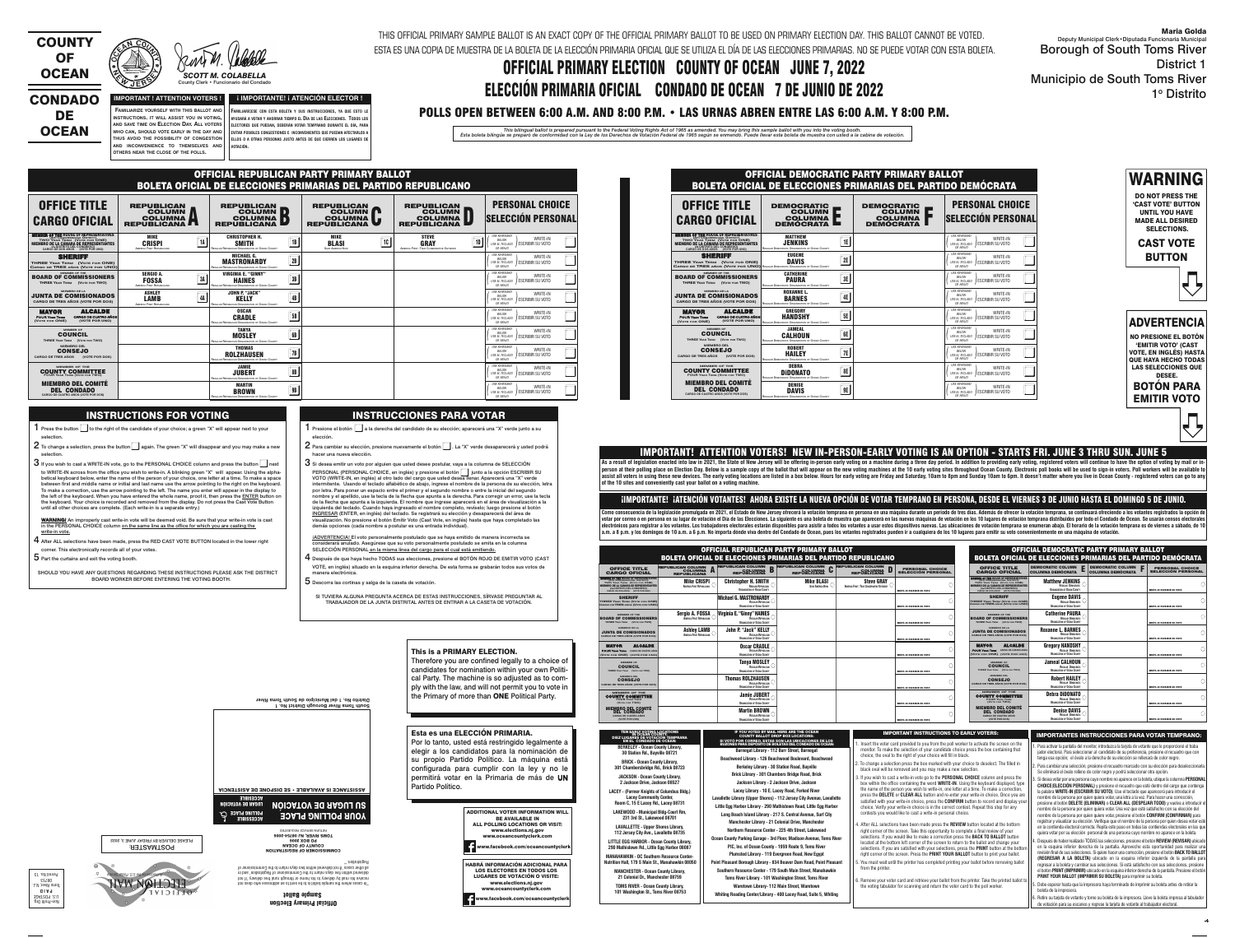**WHO CAN, SHOULD VOTE EARLY IN THE DAY AND THUS AVOID THE POSSIBILITY OF CONGESTION**DE **OCEAN** 

**OTHERS NEAR THE CLOSE OF THE POLLS.**



### CONDADO



County Clerk • Funcionario del Condado

#### **IMPORTANT ! ATTENTION VOTERS ! FAMILIARIZE YOURSELF WITH THIS BALLOT AND INSTRUCTIONS. IT WILL ASSIST YOU IN VOTING, AND SAVE TIME ON ELECTION DAY. ALL VOTERS ¡ IMPORTANTE! ¡ ATENCIÓN ELECTOR !**

 $\mathsf{AND} \parallel \mathsf{NCONVEN}$  inconvenience to themselves and  $\parallel \mathsf{Nort}$  (in **FAMILIARÍCESE CON ESTA BOLETA Y SUS INSTRUCCIONES, YA QUE ESTO LE AYUDARÁ A VOTAR Y AHORRAR TIEMPO EL DÍA DE LAS ELECCIONES. TODOS LOS ELECTORES QUE PUEDAN, DEBERÁN VOTAR TEMPRANO DURANTE EL DÍA, PARA EVITAR POSIBLES CONGESTIONES E INCONVENIENTES QUE PUEDAN AFECTARLOS A ELLOS O A OTRAS PERSONAS JUSTO ANTES DE QUE CIERREN LOS LUGARES DE**

THIS OFFICIAL PRIMARY SAMPLE BALLOT IS AN EXACT COPY OF THE OFFICIAL PRIMARY BALLOT TO BE USED ON PRIMARY ELECTION DAY. THIS BALLOT CANNOT BE VOTED. ESTA ES UNA COPIA DE MUESTRA DE LA BOLETA DE LA ELECCIÓN PRIMARIA OFICIAL QUE SE UTILIZA EL DÍA DE LAS ELECCIONES PRIMARIAS. NO SE PUEDE VOTAR CON ESTA BOLETA.

# OFFICIAL PRIMARY ELECTION COUNTY OF OCEAN JUNE 7, 2022 ELECCIÓN PRIMARIA OFICIAL CONDADO DE OCEAN 7 DE JUNIO DE 2022

# POLLS OPEN BETWEEN 6:00 A.M. AND 8:00 P.M. • LAS URNAS ABREN ENTRE LAS 6:00 A.M. Y 8:00 P.M.

This bilingual ballot is prepared pursuant to the Federal Voting Rights Act of 1965 as amended. You may bring this sample ballot with you into the voting booth.<br>Esta boleta bilingüe se preparó de conformidad con la Ley de

WARNING

DO NOT PRESS THE 'CAST VOTE' BUTTON UNTIL YOU HAVE MADE ALL DESIRED SELECTIONS.

CAST VOTE BUTTON

ê



1 Presione el botón  $\square$  a la derecha del candidato de su elección; aparecerá una "X" verde junto a su elección.

- $2$  Para cambiar su elección, presione nuevamente el botón  $\Box$  . La "X" verde desaparecerá y usted podrá hacer una nueva elección.
- $3\,$ Si desea emitir un voto por alguien que usted desee postular, vaya a la columna de SELECCIÓN PERSONAL (PERSONAL CHOICE, en inglés) y presione el botón  $\parallel\,\parallel$  junto a la opción ESCRIBIR SU PERSONAL (PERSONAL CHOICE, en inglés) y presione el botón ██ junto a la opción ESCRIBIR S<br>VOTO (WRITE-IN, en inglés) al otro lado del cargo que usted desea llenar. Aparecerá una "X" verde intermitente. Usando el teclado alfabético de abajo, ingrese el nombre de la persona de su elección, letra por letra. Para poner un espacio entre el primer y el segundo nombre o entre la inicial del segundo nombre y el apellido, use la tecla de la flecha que apunta a la derecha. Para corregir un error, use la tecla de la flecha que apunta a la izquierda. El nombre que ingrese aparecerá en el área de visualización a la izquierda del teclado. Cuando haya ingresado el nombre completo, revíselo; luego presione el botón INGRESAR (ENTER, en inglés) del teclado. Se registrará su elección y desaparecerá del área de visualización. No presione el botón Emitir Voto (Cast Vote, en inglés) hasta que haya completado las demás opciones (cada nombre a postular es una entrada individual).
- iADVERTENCIA! El voto personalmente postulado que se haya emitido de manera incorrecta se considerará anulado. Asegúrese que su voto personalmente postulado se emita en la columna SELECCIÓN PERSONAL en la misma línea del cargo para el cual está emitiendo.
- $\boldsymbol{4}$  Después de que haya hecho TODAS sus elecciones, presione el BOTÓN ROJO DE EMITIR VOTO (CAST VOTE, en inglés) situado en la esquina inferior derecha. De esta forma se grabarán todos sus votos de manera electrónica.
- ${\bf 5}$  Descorra las cortinas y salga de la caseta de votación.

NO PRESIONE EL BOTÓN 'EMITIR VOTO' (CAST VOTE, EN INGLÉS) HASTA **QUE HAYA HECHO TODAS** LAS SELECCIONES QUE DESEE.

| <b>BOTON PARA</b>  |  |
|--------------------|--|
| <b>EMITIR VOTO</b> |  |

#### INSTRUCTIONS FOR VOTING

- 1 Press the button  $\Box$  to the right of the candidate of your choice; a green "X" will appear next to your selection.
- $2$  To change a selection, press the button $\Box$  again. The green "X" will disappear and you may make a new
- selection.  $3$  If you wish to cast a WRITE-IN vote, go to the PERSONAL CHOICE column and press the button  $\Box$  next to WRITE-IN across from the office you wish to write-in. A blinking green "X" will appear. Using the alphabetical keyboard below, enter the name of the person of your choice, one letter at a time. To make a space between first and middle name or initial and last name use the arrow pointing to the right on the keyboard. To make a correction, use the arrow pointing to the left. The name you enter will appear in the display to the left of the keyboard. When you have entered the whole name, proof it, then press the ENTER button on the keyboard. Your choice is recorded and removed from the display. Do not press the Cast Vote Button until all other choices are complete. (Each write-in is a separate entry.)
- WARNING! An improperly cast write-in vote will be deemed void. Be sure that your write-in vote is cast in the PERSONAL CHOICE column on the same line as the office for which you are casting the <u>write-in vote.</u>
- $4$  After ALL selections have been made, press the RED CAST VOTE BUTTON located in the lower right corner. This electronically records all of your votes.
- ${\bf 5}$  Part the curtains and exit the voting booth.

ê

SHOULD YOU HAVE ANY QUESTIONS REGARDING THESE INSTRUCTIONS PLEASE ASK THE DISTRICT BOARD WORKER BEFORE ENTERING THE VOTING BOOTH.

### INSTRUCCIONES PARA VOTAR

**Barnegat Library - 112 Burr Street, Barnegat Beachwood Library - 126 Beachwood Boulevard, Beachwood Berkeley Library - 30 Station Road, Bayville Brick Library - 301 Chambers Bridge Road, Brick Jackson Library - 2 Jackson Drive, Jackson Lacey Library - 10 E. Lacey Road, Forked River Lavallette Library (Upper Shores) - 112 Jersey City Avenue, Lavallette Little Egg Harbor Library - 290 Mathistown Road, Little Egg Harbor Long Beach Island Library - 217 S. Central Avenue, Surf City Manchester Library - 21 Colonial Drive, Manchester Northern Resource Center - 225 4th Street, Lakewood Ocean County Parking Garage - 3rd Floor, Madison Avenue, Toms River PIC, Inc. of Ocean County - 1959 Route 9, Toms River Plumsted Library - 119 Evergreen Road, New Egypt Point Pleasant Borough Library - 834 Beaver Dam Road, Point Pleasant Southern Resource Center - 179 South Main Street, Manahawkin Toms River Library - 101 Washington Street, Toms River Waretown Library- 112 Main Street, Waretown Whiting Reading Center/Library - 400 Lacey Road, Suite 5, Whiting** SI VOTÓ POR CORREO, ESTAS SON LAS UBICACIONES DE LOS<br>BUZONES PARA DEPÓSITO DE BOLETAS DEL CONDADO DE OCEAN:

SI TUVIERA ALGUNA PREGUNTA ACERCA DE ESTAS INSTRUCCIONES, SÍRVASE PREGUNTAR AL TRABAJADOR DE LA JUNTA DISTRITAL ANTES DE ENTRAR A LA CASETA DE VOTACIÓN.

#### This is a PRIMARY ELECTION.

Therefore you are confined legally to a choice of candidates for nomination within your own Political Party. The machine is so adjusted as to comply with the law, and will not permit you to vote in the Primary of more than ONE Political Party.

Esta es una ELECCIÓN PRIMARIA.

Por lo tanto, usted está restringido legalmente a

. Retire su tarjeta de votante y tome su boleta de la impresora. Lleve la boleta impresa al tabulado de votación para su escaneo y regrese la tarjeta de votante al trabajador electoral.

: POSTMASTER PLEASE DELIVER BY FRIDAY JUNE 3, 2022

**KALLAN** 

Official Primary Election



"In cases where the sample ballot is to be sent to an addressee who does not receive his mail by delivery to his home or through rural free delivery 'if not delivered within five days return to the Commissioner of Registration' and in all other cases 'if not delivered within two days return to the Commissioner of Registration.'"

COMMISSIONER OF REGISTRATION

COUNTY OF OCEAN PO BOX 2006 TOMS RIVER, NJ 08754-2006 RETURN SERVICE REQUESTED





|                                                                                    | ASSISTANCE IS AVAILABLE • SE DISPONE DE ASISTENCIA       |
|------------------------------------------------------------------------------------|----------------------------------------------------------|
| <b>VCCESIBLE</b><br>LUGAR DE VOTACION<br><b>POLLING PLACE</b><br><b>VCCE22IBLE</b> | <b>SU LUGAR DE VOTAÇIÓN</b><br><b>AONE BOFFING BFVCE</b> |
|                                                                                    |                                                          |

6. Remove your voter card and retrieve your ballot from the printer. Take the printed ballot t the voting tabulator for scanning and return the voter card to the poll worker.

IMPORTANT INSTRUCTIONS TO EARLY VOTERS: INSTRUCTIONES INSTRUCCIONES PARA VOTAR TEMPRANO:



As a result of legislation enacted into law in 2021, the State of New Jersey will be offering in-person early voting on a machine during a three day period. In addition to providing early voting, registered voters will con person at their polling place on Election Day. Below is a sample copy of the ballot that will appear on the new voting machines at the 10 early voting sites throughout Ocean County. Electronic poll books will be used to si assist all voters in using these new devices. The early voting locations are listed in a box below. Hours for early voting are Friday and Saturday, 10am to 8pm and Sunday 10am to 6pm. It doesn't matter where you live in Oc **of the 10 sites and conveniently cast your ballot on a voting machine.**

**BRICK - Ocean County Library, 301 Chambersbridge Rd., Brick 08723 JACKSON - Ocean County Library, 2 Jackson Drive, Jackson 08527 LACEY - (Former Knights of Columbus Bldg.) Lacey Community Center, Room C, 15 E Lacey Rd., Lacey 08731 LAKEWOOD - Municipal Bldg-Court Rm, 231 3rd St., Lakewood 08701 LAVALLETTE - Upper Shores Library, 112 Jersey City Ave., Lavallette 08735 LITTLE EGG HARBOR - Ocean County Library, 290 Mathistown Rd., Little Egg Harbor 08087 MANAHAWKIN - OC Southern Resource Center- Nutrition Hall, 179 S Main St., Manahawkin 08050 MANCHESTER - Ocean County Library, 21 Colonial Dr., Manchester 08759 TOMS RIVER - Ocean County Library, 101 Washington St., Toms River 08753**

| TEN EARLY VOTING LOCATIONS              |
|-----------------------------------------|
| DIEZ LUGARES DE VOTACIÓN TEMPRANA       |
|                                         |
| <b>EN EL CONDADO DE OCEAN:</b>          |
| <b>BERKELEY - Ocean County Library,</b> |
|                                         |
| 30 Station Rd., Bayville 08721          |

IF YOU VOTED BY MAIL HERE ARE THE OCEAN COUNTY BALLOT DROP BOX LOCATIONS:

Maria Golda

| Deputy Municipal Clerk • Diputada Funcionaria Municipal<br><b>Borough of South Toms River</b> |
|-----------------------------------------------------------------------------------------------|
| <b>District 1</b>                                                                             |
| <b>Municipio de South Toms River</b>                                                          |
| 1º Distrito                                                                                   |

- 1. Para activar la pantalla del monitor, introduzca la tarjeta de votante que le proporcionó el traba jador electoral. Para seleccionar al candidato de su preferencia, presione el recuadro que con
- tenga esa opción; el óvalo a la derecha de su elección se rellenará de color negro. 2. Para cambiar una selección, presione el recuadro marcado con su elección para deseleccionarla.
- Se eliminará el óvalo relleno de color negro y podrá seleccionar otra opción.

3. Si desea votar por una persona cuyo nombre no aparece en la boleta, ubique la columna **PERSONAL CHOICE**(**ELECCIÓN PERSONAL)** y presione el recuadro que esté dentro del cargo que contenga la palabra **WRITE-IN (ESCRIBIR SU VOTO)**. Use el teclado que aparecerá para introducir el nombre de la persona por quien quiera votar, una letra a la vez. Para hacer una corrección, presione el botón **DELETE (ELIMINAR)** o **CLEAR ALL (DESPEJAR TODO)** y vuelva a introducir el nombre de la persona por quien quiera votar. Una vez que esté satisfecho con su elección del

 nombre de la persona por quien quiere votar, presione el botón **CONFIRM (CONFIRMAR)** para registrar y visualizar su elección. Verifique que el nombre de la persona por quien desea votar esté en la contienda electoral correcta. Repita este paso en todas las contiendas electorales en las que quiera votar por su elección personal de una persona cuyo nombre no aparece en la boleta.

4. Después de haber realizado TODAS las selecciones, presione el botón **REVIEW (REVISAR)** ubicado en la esquina inferior derecha de la pantalla. Aproveche esta oportunidad para realizar una revisión final de sus selecciones. Si quiere hacer una corrección, presione el botón **BACK TO BALLOT (REGRESAR A LA BOLETA)** ubicado en la esquina inferior izquierda de la pantalla para regresar a la boleta y cambiar sus selecciones. Si está satisfecho con sus selecciones, presione el botón **PRINT (IMPRIMIR)** ubicado en la esquina inferior derecha de la pantalla. Presione el botón **PRINT YOUR BALLOT (IMPRIMIR SU BOLETA)** para imprimir su boleta.

5. Debe esperar hasta que la impresora haya terminado de imprimir su boleta antes de retirar la boleta de la impresora.

 1. Insert the voter card provided to you from the poll worker to activate the screen on the monitor. To make the selection of your candidate choice press the box containing that choice; the oval to the right of your choice will fill in black.

- 2. To change a selection press the box marked with your choice to deselect. The filled in black oval will be removed and you may make a new selection.
- 3. If you wish to cast a write-in vote go to the **PERSONAL CHOICE** column and press the box within the office containing the word **WRITE-IN**. Using the keyboard displayed, type the name of the person you wish to write-in, one letter at a time. To make a correction, press the **DELETE** or **CLEAR ALL** button and re-enter your write-in choice. Once you are satisfied with your write-in choice, press the **CONFIRM** button to record and display yo choice. Verify your write-in choice is in the correct contest. Repeat this step for any contests you would like to cast a write-in personal choice.
- 4. After ALL selections have been made press the **REVIEW** button located at the bottom right corner of the screen. Take this opportunity to complete a final review of your selections. If you would like to make a correction press the **BACK TO BALLOT** button located at the bottom left corner of the screen to return to the ballot and change your selections. If you are satisfied with your selections, press the **PRINT** button at the bottom right corner of the screen. Press the **PRINT YOUR BALLOT** button to print your ballot. 5. You must wait until the printer has completed printing your ballot before removing ballot

from the printer

#### IMPORTANT! ATTENTION VOTERS! NEW IN-PERSON-EARLY VOTING IS AN OPTION - STARTS FRI. JUNE 3 THRU SUN. JUNE 5

#### ¡IMPORTANTE! ¡ATENCIÓN VOTANTES! AHORA EXISTE LA NUEVA OPCIÓN DE VOTAR TEMPRANO EN PERSONA, DESDE EL VIERNES 3 DE JUNIO HASTA EL DOMINGO 5 DE JUNIO.

Como consecuencia de la legislación promulgada en 2021, el Estado de New Jersey ofrecerá la votación temprana en persona en una máquina durante un periodo de tres días. Además de ofrecer la votación temprana, se continuará votar por correo o en persona en su lugar de votación el Día de las Elecciones. La siguiente es una boleta de muestra que aparecerá en las nuevas máquinas de votación en los 10 lugares de votación temprana distribuidos por electrónicos para registrar a los votantes. Los trabajadores electorales estarán disponibles para asistir a todos los votantes a usar estos dispositivos nuevas. Las ubicaciones de votación temprana se enumeran abajo. El ho a.m. a 8 p.m. y los domingos de 10 a.m. a 6 p.m. No importa dónde viva dentro del Condado de Ocean, pues los votantes registrados pueden ir a cualquiera de los 10 lugares para emitir su voto convenientemente en una máquina

|                                                                                                                                       | <b>OFFICIAL DEMOCRATIC PARTY PRIMARY BALLOT</b><br>BOLETA OFICIAL DE ELECCIONES PRIMARIAS DEL PARTIDO DEMÓCRATA |                                                                               |                                                                                                                         |  |  |  |  |  |  |
|---------------------------------------------------------------------------------------------------------------------------------------|-----------------------------------------------------------------------------------------------------------------|-------------------------------------------------------------------------------|-------------------------------------------------------------------------------------------------------------------------|--|--|--|--|--|--|
| <b>OFFICE TITLE</b><br><b>CARGO OFICIAL</b>                                                                                           | <b>DEMOCRATIC</b><br><b>COLUMN</b><br><b>COLUMNA</b><br><b>DEMOCRATA</b>                                        | <b>DEMOCRATIC</b><br><b>COLUMN</b><br>÷<br><b>COLUMNA</b><br><b>DEMOCRATA</b> | <b>PERSONAL CHOICE</b><br><b>SELECCIÓN PERSONAL</b>                                                                     |  |  |  |  |  |  |
| Member of the house of representatives<br>TWO YEAR TERM (VOTE FOR ONE)<br>CARGO DE DOS AÑOS (VOTE POR UNO)                            | <b>MATTHEW</b><br>1E<br><b>JENKINS</b><br><b>REGULAR DEMOCRATIC ORGANIZATION OF OCEAN COUNTY</b>                |                                                                               | <b>USE KEYBOARD</b><br>WRITE-IN<br>BELOW<br><b>JESCRIBIR SU VOTO</b><br>USE EL TECLADO<br>DE ABAJO                      |  |  |  |  |  |  |
| <b>SHERIFF</b><br>THREE YEAR TERM (VOTE FOR ONE)<br>CARGO DE TRES AÑOS (VOTE POR UNO) REGULAR DEMOCRATIC ORGANIZATION OF OCEAN COUNTY | <b>EUGENE</b><br>2E<br>DAVIS                                                                                    |                                                                               | <b>USE KEYBOARD</b><br><b>WRITE-IN</b><br><b>BELOW</b><br><b>JESCRIBIR SU VOTO</b><br>USE EL TECLADO<br><b>DE ABAJO</b> |  |  |  |  |  |  |
| <b>MEMBER OF THE</b><br><b>BOARD OF COMMISSIONERS</b><br>THREE YEAR TERM (VOTE FOR TWO)                                               | <b>CATHERINE</b><br>3E<br><b>PAURA</b><br>REGULAR DEMOCRATIC ORGANIZATION OF OCEAN COUNTY                       |                                                                               | <b>USE KEYBOARD</b><br>WRITE-IN<br>BELOW<br><b>JESCRIBIR SU VOTO</b><br>USE EL TECLADO<br><b>DE ABAJO</b>               |  |  |  |  |  |  |
| <b>MIEMBRO DE LA</b><br><b>JUNTA DE COMISIONADOS</b><br>CARGO DE TRES AÑOS (VOTE POR DOS)                                             | <b>ROXANNE L.</b><br>4E<br><b>BARNES</b><br>REGULAR DEMOCRATIC ORGANIZATION OF OCEAN COUNTY                     |                                                                               | <b>USE KEYBOARD</b><br>WRITE-IN<br>BELOW<br><b>JESCRIBIR SU VOTO</b><br>USE EL TECLADO<br><b>DE ABAJO</b>               |  |  |  |  |  |  |
| <b>ALCALDE</b><br><b>MAYOR</b><br><b>CARGO DE CUATRO AÑOS</b><br><b>FOUR YEAR TERM</b><br>(VOTE FOR ONE)<br>(VOTE POR UNO)            | <b>GREGORY</b><br>5E<br><b>HANDSHY</b><br>REGULAR DEMOCRATIC ORGANIZATION OF OCEAN COUNTY                       |                                                                               | <b>USE KEYBOARD</b><br><b>WRITE-IN</b><br>BELOW<br>/ ESCRIBIR SU VOTO<br>USE EL TECLADO<br>DE ABAJO                     |  |  |  |  |  |  |
| <b>MEMBER OF</b><br><b>COUNCIL</b><br>THREE YEAR TERM (VOTE FOR TWO)                                                                  | <b>JAMEAL</b><br>6E<br><b>CALHOUN</b><br>REGULAR DEMOCRATIC ORGANIZATION OF OCEAN COUNTY                        |                                                                               | <b>USE KEYBOARD</b><br><b>WRITE-IN</b><br>BELOW<br>I ESCRIBIR SU VOTO<br><b>USE EL TECLADO</b><br><b>DE ABAJO</b>       |  |  |  |  |  |  |
| <b>MIEMBRO DEL</b><br><b>CONSEJO</b><br><b>CARGO DE TRES AÑOS</b><br>(VOTE POR DOS)                                                   | <b>ROBERT</b><br>7E<br><b>HAILEY</b><br><b>REGULAR DEMOCRATIC ORGANIZATION OF OCEAN COUNTY</b>                  |                                                                               | <b>USE KEYBOARD</b><br><b>WRITE-IN</b><br>BELOW<br>ESCRIBIR SU VOTO<br><b>USE EL TECLADO</b><br>DE ABAJO                |  |  |  |  |  |  |
| <b>MEMBER OF THE</b><br><b>COUNTY COMMITTEE</b><br><b>FOUR YEAR TERM (VOTE FOR TWO)</b>                                               | <b>DEBRA</b><br>8E<br><b>DIDONATO</b><br>REGULAR DEMOCRATIC ORGANIZATION OF OCEAN COUNTY                        |                                                                               | <b>USE KEYBOARD</b><br><b>WRITE-IN</b><br>BELOW<br>I ESCRIBIR SU VOTO<br><b>USE EL TECLADO</b><br>DE ABAJO              |  |  |  |  |  |  |
| <b>MIEMBRO DEL COMITÉ</b><br><b>DEL CONDADO</b><br>CARGO DE CUATRO AÑOS (VOTE POR DOS)                                                | <b>DENISE</b><br>9E<br>DAVIS<br>REQUILAD DEMOCRATIC ORGANIZATION OF OCEAN COUNTY                                |                                                                               | <b>USE KEYBOARD</b><br><b>WRITE-IN</b><br><b>BFIOW</b><br><b>JESCRIBIR SU VOTO</b><br>USE EL TECLADO<br>DF ARA.IO       |  |  |  |  |  |  |

| OFFICIAL REPUBLICAN PARTY PRIMARY BALLOT<br><b>BOLETA OFICIAL DE ELECCIONES PRIMARIAS DEL PARTIDO REPUBLICANO</b>                                             |                                                                                            |                                                                                                                |                                                                                         |                                                                                |                                                                                                          |  |  |
|---------------------------------------------------------------------------------------------------------------------------------------------------------------|--------------------------------------------------------------------------------------------|----------------------------------------------------------------------------------------------------------------|-----------------------------------------------------------------------------------------|--------------------------------------------------------------------------------|----------------------------------------------------------------------------------------------------------|--|--|
| <b>OFFICE TITLE</b><br><b>CARGO OFICIAL</b>                                                                                                                   | <b>REPUBLICAN</b><br><b>COLUMN</b><br><b>COLUMNA</b><br><b>REPUBLICANA</b><br>$\mathbf{L}$ | <b>REPUBLICAN</b><br><b>COLUMN</b><br>$\blacksquare$<br><b>COLUMNA</b><br>$\blacksquare$<br><b>REPUBLICANA</b> | <b>REPUBLICAN</b><br><b>COLUMN</b><br><b>TA</b><br><b>COLUMNA</b><br><b>REPUBLICANA</b> | <b>REPUBLICAN</b><br><b>COLUMN</b><br><b>COLUMNA</b><br><b>REPUBLICANA</b>     | <b>PERSONAL CHOICE</b><br><b>SELECCIÓN PERSONAL</b>                                                      |  |  |
| <b>MEMBER OF THE HOUSE OF REPRESENTATIVES<br/>TWO YEAR TERM (VOTE FOR ONE)<br/>MIEMBRO DE LA CAMARA DE REPRESENTANTES</b><br>CARGO DE DOS AÑOS (VOTE POR UNO) | <b>MIKE</b><br>$\sqrt{1}$<br><b>CRISPI</b><br><b>AMERICA FIRST REPUBLICANS</b>             | <b>CHRISTOPHER H.</b><br>1B<br><b>SMITH</b><br>REGULAR REPUBLICAN ORGANIZATION OF OCEAN COUNTY                 | MIKE<br>10<br><b>BLASI</b><br><b>SAVE AMERICA NOW</b>                                   | <b>STEVE</b><br>1D<br><b>GRAY</b><br>AMERICA FIRST: TRUE CONSERVATIVE OUTSIDER | <b>USE KEYBOARD</b><br>WRITE-IN<br><b>BELOW</b><br>ESCRIBIR SU VOTO<br>USE EL TECLADO<br>DE ABAJO        |  |  |
| <b>SHERIFF</b><br>THREE YEAR TERM (VOTE FOR ONE)<br>CARGO DE TRES AÑOS (VOTE POR UNO)                                                                         |                                                                                            | <b>MICHAEL G.</b><br>2B<br><b>MASTRONARDY</b><br>REGULAR REPUBLICAN ORGANIZATION OF OCEAN COUNTY               |                                                                                         |                                                                                | <b>USE KEYBOARD</b><br>WRITE-IN<br>BELOW<br>ESCRIBIR SU VOTO<br><b>USE EL TECLADO</b><br><b>DE ABAJO</b> |  |  |
| MEMBER OF THE<br><b>BOARD OF COMMISSIONERS</b><br>THREE YEAR TERM (VOTE FOR TWO)                                                                              | <b>SERGIO A.</b><br>3A<br><b>FOSSA</b><br>AMERICA FIRST REPUBLICANS                        | <b>VIRGINIA E. "GINNY"</b><br>3B<br><b>HAINES</b><br>REGULAR REPUBLICAN ORGANIZATION OF OCEAN COUNTY           |                                                                                         |                                                                                | <b>USE KEYBOARD</b><br>WRITE-IN<br>BELOW<br>ESCRIBIR SU VOTO<br><b>USE EL TECLADO</b><br>DE ABAJO        |  |  |
| <b>MIEMBRO DE LA</b><br><b>JUNTA DE COMISIONADOS</b><br>CARGO DE TRES AÑOS (VOTE POR DOS)                                                                     | <b>ASHLEY</b><br>4A<br>LAMB<br><b>AMERICA FIRST REPUBLICANS</b>                            | <b>JOHN P. "JACK"</b><br>4B<br><b>KELLY</b><br>REGULAR REPUBLICAN ORGANIZATION OF OCEAN COUNTY                 |                                                                                         |                                                                                | <b>USE KEYBOARD</b><br>WRITE-IN<br>BELOW<br>ESCRIBIR SU VOTO<br>USE EL TECLADO<br>DE ABAJO               |  |  |
| <b>ALCALDE</b><br><b>MAYOR</b><br><b>CARGO DE CUATRO AÑOS</b><br><b>FOUR YEAR TERM</b><br>(VOTE POR UNO)<br>(VOTE FOR ONE)                                    |                                                                                            | <b>OSCAR</b><br>5B<br><b>CRADLE</b><br>REGULAR REPUBLICAN ORGANIZATION OF OCEAN COUNTY                         |                                                                                         |                                                                                | <b>USE KEYBOARD</b><br>WRITE-IN<br><b>BELOW</b><br>ESCRIBIR SU VOTO<br><b>USE EL TECLADO</b><br>DE ABAJO |  |  |
| <b>MEMBER OF</b><br><b>COUNCIL</b><br>THREE YEAR TERM (VOTE FOR TWO)                                                                                          |                                                                                            | <b>TANYA</b><br><b>6B</b><br><b>MOSLEY</b><br>REGULAR REPUBLICAN ORGANIZATION OF OCEAN COUNTY                  |                                                                                         |                                                                                | <b>USE KEYBOARD</b><br>WRITE-IN<br><b>BELOW</b><br><b>ESCRIBIR SU VOTO</b><br>USE EL TECLADO<br>DE ABAJO |  |  |
| <b>MIEMBRO DEL</b><br><b>CONSEJO</b><br><b>CARGO DE TRES AÑOS</b><br>(VOTE POR DOS)                                                                           |                                                                                            | <b>THOMAS</b><br>7B<br><b>ROLZHAUSEN</b><br>REGULAR REPUBLICAN ORGANIZATION OF OCEAN COUNTY                    |                                                                                         |                                                                                | <b>USE KEYBOARD</b><br>WRITE-IN<br><b>BELOW</b><br><b>ESCRIBIR SU VOTO</b><br>USE EL TECLADO<br>DE ABAJO |  |  |
| <b>MEMBER OF THE</b><br><b>COUNTY COMMITTEE</b>                                                                                                               |                                                                                            | <b>JAMIE</b><br>8B<br><b>JUBERT</b><br>REGULAR REPUBLICAN ORGANIZATION OF OCEAN COUNTY                         |                                                                                         |                                                                                | <b>USE KEYBOARD</b><br>WRITE-IN<br>BELOW<br>ESCRIBIR SU VOTO<br>USE EL TECLADO<br>DE ABAJO               |  |  |
| <b>MIEMBRO DEL COMITÉ</b><br><b>DEL CONDADO</b><br><b>CARGO DE CUATRO AÑOS (VOTE POR DOS)</b>                                                                 |                                                                                            | <b>MARTIN</b><br>9B<br><b>BROWN</b><br>REGULAR REPUBLICAN ORGANIZATION OF OCEAN COUNTY                         |                                                                                         |                                                                                | <b>USE KEYBOARD</b><br>WRITE-IN<br>BELOW<br>ESCRIBIR SU VOTO<br><b>USE EL TECLADO</b><br>DE ABAJO        |  |  |

| <b>OFFICIAL REPUBLICAN PARTY PRIMARY BALLOT</b><br><b>BOLETA OFICIAL DE ELECCIONES PRIMARIAS DEL PARTIDO REPUBLICANO</b>                                                                                                  |                                                                  |                                                                                                 |                                                                  | <b>OFFICIAL DEMOCRATIC PARTY PRIMARY BALLOT</b><br><b>BOLETA OFICIAL DE ELECCIONES PRIMARIAS DEL PARTIDO DEMÓCRATA</b> |                                                     |                                                                                                                                                                                                                                   |                                                                                            |                                                 |                                                     |
|---------------------------------------------------------------------------------------------------------------------------------------------------------------------------------------------------------------------------|------------------------------------------------------------------|-------------------------------------------------------------------------------------------------|------------------------------------------------------------------|------------------------------------------------------------------------------------------------------------------------|-----------------------------------------------------|-----------------------------------------------------------------------------------------------------------------------------------------------------------------------------------------------------------------------------------|--------------------------------------------------------------------------------------------|-------------------------------------------------|-----------------------------------------------------|
| <b>OFFICE TITLE</b><br><b>CARGO OFICIAL</b>                                                                                                                                                                               | <b>REPUBLICAN COLUMN</b><br><b>COLUMNA</b><br><b>REPUBLICANA</b> | <b>REPUBLICAN COLUMN</b><br>D.<br><b>COLUMNA</b><br>D<br><b>REPUBLICANA</b>                     | <b>REPUBLICAN COLUMN</b><br><b>COLUMNA</b><br><b>REPUBLICANA</b> | <b>REPUBLICAN COLUMN</b><br><b>COLUMNA</b><br><b>REPUBLICANA</b>                                                       | <b>PERSONAL CHOICE</b><br><b>SELECCIÓN PERSONAL</b> | <b>OFFICE TITLE</b><br><b>CARGO OFICIAL</b>                                                                                                                                                                                       | <b>DEMOCRATIC COLUMN</b><br>COLUMNA DEMÓCRATA                                              | <b>DEMOCRATIC COLUMN</b><br>E COLUMNA DEMÓCRATA | <b>PERSONAL CHOICE</b><br><b>SELECCIÓN PERSONAL</b> |
| <b>MEMBER OF THE HOUSE OF REPRESENTATIVES</b><br>(4TH CONGRESSIONAL DISTRICT)<br>TWO YEAR TERM (VOTE FOR ONE)<br>MIEMBRO DE LA CÁMARA DE REPRESENTANTES<br>(4º DISTRITO DEL CONGRESO)<br>CARGO DE DOS AÑOS (VOTE POR UNO) | <b>Mike CRISPI</b><br><b>AMERICA FIRST REPUBLICANS</b>           | <b>Christopher H. SMITH</b><br><b>REGULAR REPUBLICAN</b><br><b>ORGANIZATION OF OCEAN COUNTY</b> | <b>Mike BLASI</b><br><b>SAVE AMERICA NOW</b>                     | <b>Steve GRAY</b><br><b>AMERICA FIRST: TRUE CONSERVATIVE OUTSIDER</b>                                                  | <b>WRITE-IN ESCRIBIR SU VOTO</b>                    | <b>EMBER OF THE HOUSE OF REPRESENTATIVES</b><br>(4th Congressional District)<br>TWO Year Term (Vote for ONE)<br><b>MIEMBRO DE LA CÁMARA DE REPRESENTANTES<br/>(4º DISTRITO DEL CONGRESO)<br/>CARGO DE DOS AÑOS (VOTE POR UNO)</b> | <b>Matthew JENKINS</b><br>REGULAR DEMOCRATIC<br><b>ORGANIZATION OF OCEAN COUNTY</b>        |                                                 | <b>WRITE-IN ESCRIBIR SU VOTO</b>                    |
| <b>SHERIFF</b><br>THREE YEAR TERM (VOTE FOR ONE<br>CARGO DE TRES AÑOS (VOTE POR UNO                                                                                                                                       |                                                                  | Michael G. MASTRONARDY<br>REGULAR REPUBLICAN<br><b>OBGANIZATION OF OCEAN COUNTY</b>             |                                                                  |                                                                                                                        | <b>WRITE-IN ESCRIBIR SU VOTO</b>                    | <b>SHERIFF</b><br>THREE YEAR TERM (VOTE FOR ONE)<br>CARGO DE TRES AÑOS (VOTE POR UNO)                                                                                                                                             | <b>Eugene DAVIS</b><br><b>REGULAR DEMOCRATIC</b><br><b>ORGANIZATION OF OCEAN COUNTY</b>    |                                                 | <b>WRITE-IN ESCRIBIR SU VOTO</b>                    |
| MEMBER OF THE<br><b>BOARD OF COMMISSIONERS</b><br>THREE YEAR TERM (VOTE FOR TWO)                                                                                                                                          | Sergio A. FOSSA<br>AMERICA FIRST REPUBLICANS                     | Virginia E. "Ginny" HAINES<br>REGULAR REPUBLICAN<br><b>ORGANIZATION OF OCEAN COUNTY</b>         |                                                                  |                                                                                                                        | <b>WRITE-IN ESCRIBIR SU VOTO</b>                    | <b>MEMBER OF THE</b><br><b>BOARD OF COMMISSIONERS</b><br>THREE YEAR TERM (VOTE FOR TWO)                                                                                                                                           | <b>Catherine PAURA</b><br><b>REGULAR DEMOCRATIC</b><br><b>ORGANIZATION OF OCEAN COUNTY</b> |                                                 | <b>WRITE-IN ESCRIBIR SU VOTO</b>                    |
| <b>MIEMBRO DE LA</b><br><b>JUNTA DE COMISIONADOS</b><br>CARGO DE TRES AÑOS (VOTE POR DOS)                                                                                                                                 | Ashley LAMB<br>AMERICA FIRST REPUBLICANS                         | John P. "Jack" KELLY<br><b>REGULAR REPUBLICAN</b><br><b>ORGANIZATION OF OCEAN COUNTY</b>        |                                                                  |                                                                                                                        | <b>WRITE-IN ESCRIBIR SU VOTO</b>                    | <b>MIEMBRO DE LA</b><br><b>JUNTA DE COMISIONADOS</b><br><b>CARGO DE TRES AÑOS (VOTE POR DOS)</b>                                                                                                                                  | <b>Roxanne L. BARNES</b><br>REGULAR DEMOCRATIC<br><b>ORGANIZATION OF OCEAN COUNTY</b>      |                                                 | <b>WRITE-IN ESCRIBIR SU VOTO</b>                    |
| <b>ALCALDE</b><br><b>MAYOR</b><br><b>FOUR YEAR TERM CARGO DE CUATRO AÑO</b><br>(VOTE FOR ONE) (VOTE POR UNO)                                                                                                              |                                                                  | <b>Oscar CRADLE</b><br><b>REGULAR REPUBLICAN</b><br><b>ORGANIZATION OF OCEAN COUNTY</b>         |                                                                  |                                                                                                                        | <b>WRITE-IN ESCRIBIR SU VOTO</b>                    | <b>ALCALDE</b><br><b>MAYOR</b><br><b>FOUR YEAR TERM CARGO DE CUATRO AÑOS</b><br>(VOTE FOR ONE) (VOTE POR UNO                                                                                                                      | <b>Gregory HANDSHY</b><br>REGULAR DEMOCRATIC<br><b>ORGANIZATION OF OCEAN COUNTY</b>        |                                                 | <b>WRITE-IN ESCRIBIR SU VOTO</b>                    |
| <b>MEMBER OF</b><br><b>COUNCIL</b><br>THREE YEAR TERM (VOTE FOR TWO)                                                                                                                                                      |                                                                  | <b>Tanya MOSLEY</b><br><b>REGULAR REPUBLICAN</b><br><b>ORGANIZATION OF OCEAN COUNTY</b>         |                                                                  |                                                                                                                        | <b>WRITE-IN ESCRIBIR SU VOTO</b>                    | <b>MEMBER OF</b><br><b>COUNCIL</b><br>THREE YEAR TERM (VOTE FOR TWO)                                                                                                                                                              | <b>Jameal CALHOUN</b><br><b>REGULAR DEMOCRATIC</b><br><b>ORGANIZATION OF OCEAN COUNTY</b>  |                                                 | <b>WRITE-IN ESCRIBIR SU VOTO</b>                    |
| <b>MIEMBRO DEL</b><br><b>CONSEJO</b><br>CARGO DE TRES AÑOS (VOTE POR DOS)                                                                                                                                                 |                                                                  | <b>Thomas ROLZHAUSEN</b><br><b>REGULAR REPUBLICAN</b><br><b>OBGANIZATION OF OCEAN COUNTY</b>    |                                                                  |                                                                                                                        | <b>WRITE-IN ESCRIBIR SU VOTO</b>                    | <b>MIEMBRO DEL</b><br><b>CONSEJO</b><br><b>CARGO DE TRES AÑOS (VOTE POR DOS)</b>                                                                                                                                                  | <b>Robert HAILEY</b><br>REGULAR DEMOCRATIC<br><b>ORGANIZATION OF OCEAN COUNTY</b>          |                                                 | <b>WRITE-IN ESCRIBIR SU VOTO</b>                    |
| <b>MEMBER OF THE</b><br><b>COUNTY COMMITTEE</b><br><b>FOUR YEAR TERM</b><br>(VOTE FOR TWO)                                                                                                                                |                                                                  | <b>Jamie JUBERT</b><br><b>REGULAR REPUBLICAN</b><br><b>OBGANIZATION OF OCEAN COUNTY</b>         |                                                                  |                                                                                                                        | <b>WRITE-IN ESCRIBIR SU VOTO</b>                    | <b>MEMBER OF THE</b><br><b>COUNTY COMMITTEE</b><br><b>FOUR YEAR TERM</b><br>(VOTE FOR TWO)                                                                                                                                        | <b>Debra DiDONATO</b><br><b>REGULAR DEMOCRATIC</b><br><b>ORGANIZATION OF OCEAN COUNTY</b>  |                                                 | <b>WRITE-IN ESCRIBIR SU VOTO</b>                    |
| <b>MIEMBRO DEL COMITÉ</b><br><b>DEL CONDADO</b><br><b>CARGO DE CUATRO AÑOS</b><br>(VOTE POR DOS)                                                                                                                          |                                                                  | <b>Martin BROWN</b><br><b>REGULAR REPUBLICAN</b><br><b>ORGANIZATION OF OCEAN COUNTY</b>         |                                                                  |                                                                                                                        | <b>WRITE-IN ESCRIBIR SU VOTO</b>                    | <b>MIEMBRO DEL COMITÉ</b><br><b>DEL CONDADO</b><br><b>CARGO DE CUATRO AÑOS</b><br>(VOTE POR DOS)                                                                                                                                  | <b>Denise DAVIS</b><br><b>REGULAR DEMOCRATIC</b><br><b>ORGANIZATION OF OCEAN COUNTY</b>    |                                                 | <b>WRITE-IN ESCRIBIR SU VOTO</b>                    |

REGULAR DEMOCRATIC ORGANIZATION

OF OCEAN COUNTY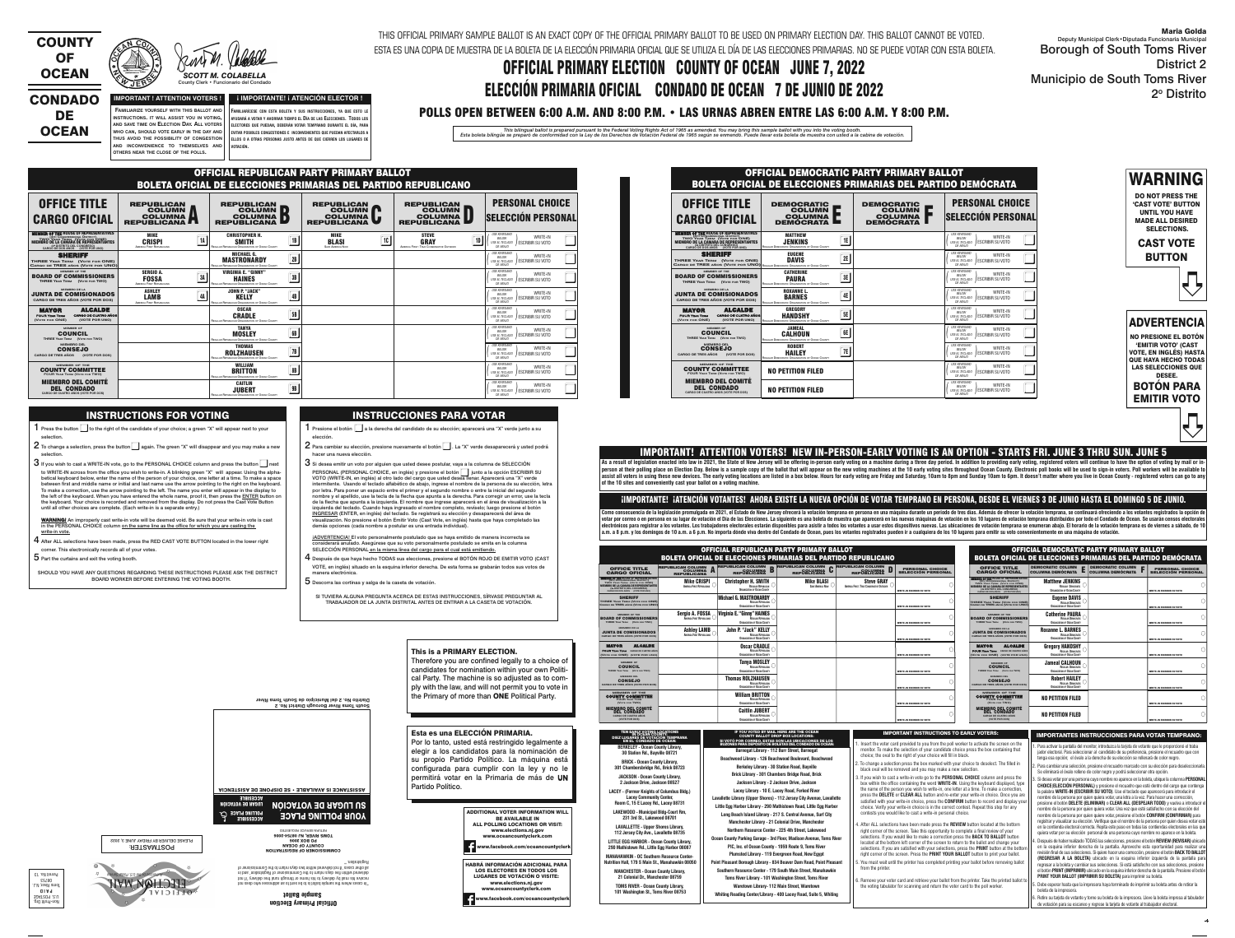#### **IMPORTANT ! ATTENTION VOTERS ! FAMILIARIZE YOURSELF WITH THIS BALLOT AND INSTRUCTIONS. IT WILL ASSIST YOU IN VOTING, AND SAVE TIME ON ELECTION DAY. ALL VOTERS WHO CAN, SHOULD VOTE EARLY IN THE DAY AND**

DE **OCEAN** 

**THUS AVOID THE POSSIBILITY OF CONGESTION**

**OTHERS NEAR THE CLOSE OF THE POLLS.**



## CONDADO



County Clerk • Funcionario del Condado

 $\mathsf{AND} \parallel \mathsf{NCONVEN}$  inconvenience to themselves and  $\parallel \mathsf{Nort}$  (in **FAMILIARÍCESE CON ESTA BOLETA Y SUS INSTRUCCIONES, YA QUE ESTO LE AYUDARÁ A VOTAR Y AHORRAR TIEMPO EL DÍA DE LAS ELECCIONES. TODOS LOS ELECTORES QUE PUEDAN, DEBERÁN VOTAR TEMPRANO DURANTE EL DÍA, PARA EVITAR POSIBLES CONGESTIONES E INCONVENIENTES QUE PUEDAN AFECTARLOS A ELLOS O A OTRAS PERSONAS JUSTO ANTES DE QUE CIERREN LOS LUGARES DE**

THIS OFFICIAL PRIMARY SAMPLE BALLOT IS AN EXACT COPY OF THE OFFICIAL PRIMARY BALLOT TO BE USED ON PRIMARY ELECTION DAY. THIS BALLOT CANNOT BE VOTED. ESTA ES UNA COPIA DE MUESTRA DE LA BOLETA DE LA ELECCIÓN PRIMARIA OFICIAL QUE SE UTILIZA EL DÍA DE LAS ELECCIONES PRIMARIAS. NO SE PUEDE VOTAR CON ESTA BOLETA.

# OFFICIAL PRIMARY ELECTION COUNTY OF OCEAN JUNE 7, 2022 ELECCIÓN PRIMARIA OFICIAL CONDADO DE OCEAN 7 DE JUNIO DE 2022

# POLLS OPEN BETWEEN 6:00 A.M. AND 8:00 P.M. • LAS URNAS ABREN ENTRE LAS 6:00 A.M. Y 8:00 P.M.

This bilingual ballot is prepared pursuant to the Federal Voting Rights Act of 1965 as amended. You may bring this sample ballot with you into the voting booth.<br>Esta boleta bilingüe se preparó de conformidad con la Ley de

**¡ IMPORTANTE! ¡ ATENCIÓN ELECTOR !** 

WARNING

DO NOT PRESS THE 'CAST VOTE' BUTTON UNTIL YOU HAVE MADE ALL DESIRED SELECTIONS.

CAST VOTE BUTTON

ê



NO PRESIONE EL BOTÓN 'EMITIR VOTO' (CAST VOTE, EN INGLÉS) HASTA **QUE HAYA HECHO TODAS** LAS SELECCIONES QUE DESEE.

- hacer una nueva elección.
- $3\,$ Si desea emitir un voto por alguien que usted desee postular, vaya a la columna de SELECCIÓN PERSONAL (PERSONAL CHOICE, en inglés) y presione el botón  $\parallel\,\parallel$  junto a la opción ESCRIBIR SU PERSONAL (PERSONAL CHOICE, en inglés) y presione el botón ██ junto a la opción ESCRIBIR S<br>VOTO (WRITE-IN, en inglés) al otro lado del cargo que usted desea llenar. Aparecerá una "X" verde intermitente. Usando el teclado alfabético de abajo, ingrese el nombre de la persona de su elección, letra por letra. Para poner un espacio entre el primer y el segundo nombre o entre la inicial del segundo nombre y el apellido, use la tecla de la flecha que apunta a la derecha. Para corregir un error, use la tecla de la flecha que apunta a la izquierda. El nombre que ingrese aparecerá en el área de visualización a la izquierda del teclado. Cuando haya ingresado el nombre completo, revíselo; luego presione el botón INGRESAR (ENTER, en inglés) del teclado. Se registrará su elección y desaparecerá del área de visualización. No presione el botón Emitir Voto (Cast Vote, en inglés) hasta que haya completado las demás opciones (cada nombre a postular es una entrada individual).
- iADVERTENCIA! El voto personalmente postulado que se haya emitido de manera incorrecta se considerará anulado. Asegúrese que su voto personalmente postulado se emita en la columna SELECCIÓN PERSONAL en la misma línea del cargo para el cual está emitiendo.
- $\boldsymbol{4}$  Después de que haya hecho TODAS sus elecciones, presione el BOTÓN ROJO DE EMITIR VOTO (CAST VOTE, en inglés) situado en la esquina inferior derecha. De esta forma se grabarán todos sus votos de manera electrónica.
- ${\bf 5}$  Descorra las cortinas y salga de la caseta de votación.

| <b>BOTÓN PARA</b>  |  |
|--------------------|--|
| <b>EMITIR VOTO</b> |  |

#### INSTRUCTIONS FOR VOTING

- 1 Press the button  $\Box$  to the right of the candidate of your choice; a green "X" will appear next to your selection.
- 
- $2$  To change a selection, press the button $\Box$  again. The green "X" will disappear and you may make a new selection.  $3$  If you wish to cast a WRITE-IN vote, go to the PERSONAL CHOICE column and press the button  $\Box$  next to WRITE-IN across from the office you wish to write-in. A blinking green "X" will appear. Using the alphabetical keyboard below, enter the name of the person of your choice, one letter at a time. To make a space between first and middle name or initial and last name use the arrow pointing to the right on the keyboard.
- To make a correction, use the arrow pointing to the left. The name you enter will appear in the display to the left of the keyboard. When you have entered the whole name, proof it, then press the ENTER button on the keyboard. Your choice is recorded and removed from the display. Do not press the Cast Vote Button until all other choices are complete. (Each write-in is a separate entry.)
- WARNING! An improperly cast write-in vote will be deemed void. Be sure that your write-in vote is cast in the PERSONAL CHOICE column on the same line as the office for which you are casting the <u>write-in vote.</u>
- $4$  After ALL selections have been made, press the RED CAST VOTE BUTTON located in the lower right corner. This electronically records all of your votes.
- ${\bf 5}$  Part the curtains and exit the voting booth.

ê

Por lo tanto, usted está restringido legalmente a elegir a los candidatos para la nominación de su propio Partido Político. La máquina está configurada para cumplir con la ley y no le permitirá votar en la Primaria de más de **UN** 

SHOULD YOU HAVE ANY QUESTIONS REGARDING THESE INSTRUCTIONS PLEASE ASK THE DISTRICT BOARD WORKER BEFORE ENTERING THE VOTING BOOTH.

### INSTRUCCIONES PARA VOTAR

1 Presione el botón  $\square$  a la derecha del candidato de su elección; aparecerá una "X" verde junto a su elección.  $2$  Para cambiar su elección, presione nuevamente el botón  $\Box$  . La "X" verde desaparecerá y usted podrá

#### **Barnegat Library - 112 Burr Street, Barnegat Beachwood Library - 126 Beachwood Boulevard, Beachwood Berkeley Library - 30 Station Road, Bayville Brick Library - 301 Chambers Bridge Road, Brick Jackson Library - 2 Jackson Drive, Jackson Lacey Library - 10 E. Lacey Road, Forked River**  SI VOTÓ POR CORREO, ESTAS SON LAS UBICACIONES DE LOS<br>BUZONES PARA DEPÓSITO DE BOLETAS DEL CONDADO DE OCEAN:

 Deputy Municipal Clerk•Diputada Funcionaria Municipal Borough of South Toms River District 2 Municipio de South Toms River 2º Distrito

SI TUVIERA ALGUNA PREGUNTA ACERCA DE ESTAS INSTRUCCIONES, SÍRVASE PREGUNTAR AL TRABAJADOR DE LA JUNTA DISTRITAL ANTES DE ENTRAR A LA CASETA DE VOTACIÓN.



Therefore you are confined legally to a choice of candidates for nomination within your own Political Party. The machine is so adjusted as to comply with the law, and will not permit you to vote in the Primary of more than ONE Political Party.

Esta es una ELECCIÓN PRIMARIA.

. Retire su tarjeta de votante y tome su boleta de la impresora. Lleve la boleta impresa al tabulado de votación para su escaneo y regrese la tarjeta de votante al trabajador electoral.

Partido Político.



PLEASE DELIVER BY FRIDAY JUNE 3, 2022



Official Primary Election Sample Ballot "In cases where the sample ballot is to be sent to an addressee who does not receive his mail by delivery to his home or through rural free delivery 'if not delivered within five days return to the Commissioner of Registration' and in all other cases 'if not delivered within two days return to the Commissioner of

Registration.'"

COMMISSIONER OF REGISTRATION COUNTY OF OCEAN PO BOX 2006 TOMS RIVER, NJ 08754-2006

Non-Profit Org. U.S. POSTAGE **P A I D**<br>Toms River, N.J. 08753 Permit No. 13

|                                                                             | ASSISTANCE IS AVAILABLE • SE DISPONE DE ASISTENCIA       |
|-----------------------------------------------------------------------------|----------------------------------------------------------|
| VCCE2IBLE<br>LUGAR DE VOTACION<br><b>POLLING PLACE</b><br><b>VCCESSIBLE</b> | <b>UQIDATOV BE VOTACIÓN</b><br><b>YOUR POLLING PLACE</b> |
|                                                                             | HE LOKN REKAICE KEODERLED                                |

6. Remove your voter card and retrieve your ballot from the printer. Take the printed ballot t the voting tabulator for scanning and return the voter card to the poll worker.

IMPORTANT INSTRUCTIONS TO EARLY VOTERS: INSTRUCTIONES INSTRUCCIONES PARA VOTAR TEMPRANO:

**South Toms River Borough District No. 2 Distrito No. 2 del Municipio de South Toms River**

> ADDITIONAL VOTER INFORMATION WILL BE AVAILABLE IN



As a result of legislation enacted into law in 2021, the State of New Jersey will be offering in-person early voting on a machine during a three day period. In addition to providing early voting, registered voters will con person at their polling place on Election Day. Below is a sample copy of the ballot that will appear on the new voting machines at the 10 early voting sites throughout Ocean County. Electronic poll books will be used to si assist all voters in using these new devices. The early voting locations are listed in a box below. Hours for early voting are Friday and Saturday, 10am to 8pm and Sunday 10am to 6pm. It doesn't matter where you live in Oc **of the 10 sites and conveniently cast your ballot on a voting machine.**

**BRICK - Ocean County Library, 301 Chambersbridge Rd., Brick 08723 JACKSON - Ocean County Library, 2 Jackson Drive, Jackson 08527 LACEY - (Former Knights of Columbus Bldg.) Lacey Community Center, Room C, 15 E Lacey Rd., Lacey 08731 LAKEWOOD - Municipal Bldg-Court Rm, 231 3rd St., Lakewood 08701 LAVALLETTE - Upper Shores Library, 112 Jersey City Ave., Lavallette 08735 LITTLE EGG HARBOR - Ocean County Library, 290 Mathistown Rd., Little Egg Harbor 08087 MANAHAWKIN - OC Southern Resource Center- Nutrition Hall, 179 S Main St., Manahawkin 08050 MANCHESTER - Ocean County Library, 21 Colonial Dr., Manchester 08759 TOMS RIVER - Ocean County Library, 101 Washington St., Toms River 08753**

| TEN EARLY VOTING LOCATIONS                                    |
|---------------------------------------------------------------|
| IN OCEAN COUNTY:<br>DIEZ LUGARES DE VOTACIÓN T <u>EMPRANA</u> |
|                                                               |
| <b>EN EL CONDADO DE OCEAN:</b>                                |
| <b>BERKELEY - Ocean County Library,</b>                       |
|                                                               |
| 30 Station Rd., Bayville 08721                                |

**Lavallette Library (Upper Shores) - 112 Jersey City Avenue, Lavallette Little Egg Harbor Library - 290 Mathistown Road, Little Egg Harbor Long Beach Island Library - 217 S. Central Avenue, Surf City Manchester Library - 21 Colonial Drive, Manchester Northern Resource Center - 225 4th Street, Lakewood Ocean County Parking Garage - 3rd Floor, Madison Avenue, Toms River PIC, Inc. of Ocean County - 1959 Route 9, Toms River Plumsted Library - 119 Evergreen Road, New Egypt Point Pleasant Borough Library - 834 Beaver Dam Road, Point Pleasant Southern Resource Center - 179 South Main Street, Manahawkin Toms River Library - 101 Washington Street, Toms River** 

**Waretown Library- 112 Main Street, Waretown Whiting Reading Center/Library - 400 Lacey Road, Suite 5, Whiting**

IF YOU VOTED BY MAIL HERE ARE THE OCEAN COUNTY BALLOT DROP BOX LOCATIONS:

Maria Golda

1. Para activar la pantalla del monitor, introduzca la tarjeta de votante que le proporcionó el traba jador electoral. Para seleccionar al candidato de su preferencia, presione el recuadro que con

- tenga esa opción; el óvalo a la derecha de su elección se rellenará de color negro. 2. Para cambiar una selección, presione el recuadro marcado con su elección para deseleccionarla.
- Se eliminará el óvalo relleno de color negro y podrá seleccionar otra opción. 3. Si desea votar por una persona cuyo nombre no aparece en la boleta, ubique la columna **PERSONAL**

 **CHOICE**(**ELECCIÓN PERSONAL)** y presione el recuadro que esté dentro del cargo que contenga la palabra **WRITE-IN (ESCRIBIR SU VOTO)**. Use el teclado que aparecerá para introducir el nombre de la persona por quien quiera votar, una letra a la vez. Para hacer una corrección, presione el botón **DELETE (ELIMINAR)** o **CLEAR ALL (DESPEJAR TODO)** y vuelva a introducir el nombre de la persona por quien quiera votar. Una vez que esté satisfecho con su elección del nombre de la persona por quien quiere votar, presione el botón **CONFIRM (CONFIRMAR)** para registrar y visualizar su elección. Verifique que el nombre de la persona por quien desea votar esté en la contienda electoral correcta. Repita este paso en todas las contiendas electorales en las que quiera votar por su elección personal de una persona cuyo nombre no aparece en la boleta.

4. Después de haber realizado TODAS las selecciones, presione el botón **REVIEW (REVISAR)** ubicado en la esquina inferior derecha de la pantalla. Aproveche esta oportunidad para realizar una revisión final de sus selecciones. Si quiere hacer una corrección, presione el botón **BACK TO BALLOT (REGRESAR A LA BOLETA)** ubicado en la esquina inferior izquierda de la pantalla para regresar a la boleta y cambiar sus selecciones. Si está satisfecho con sus selecciones, presione el botón **PRINT (IMPRIMIR)** ubicado en la esquina inferior derecha de la pantalla. Presione el botón **PRINT YOUR BALLOT (IMPRIMIR SU BOLETA)** para imprimir su boleta.

5. Debe esperar hasta que la impresora haya terminado de imprimir su boleta antes de retirar la boleta de la impresora.

 1. Insert the voter card provided to you from the poll worker to activate the screen on the monitor. To make the selection of your candidate choice press the box containing that choice; the oval to the right of your choice will fill in black. 2. To change a selection press the box marked with your choice to deselect. The filled in

- black oval will be removed and you may make a new selection.
- 3. If you wish to cast a write-in vote go to the **PERSONAL CHOICE** column and press the box within the office containing the word **WRITE-IN**. Using the keyboard displayed, type the name of the person you wish to write-in, one letter at a time. To make a correction, press the **DELETE** or **CLEAR ALL** button and re-enter your write-in choice. Once you are satisfied with your write-in choice, press the **CONFIRM** button to record and display yo choice. Verify your write-in choice is in the correct contest. Repeat this step for any contests you would like to cast a write-in personal choice.
- 4. After ALL selections have been made press the **REVIEW** button located at the bottom right corner of the screen. Take this opportunity to complete a final review of your selections. If you would like to make a correction press the **BACK TO BALLOT** button located at the bottom left corner of the screen to return to the ballot and change your selections. If you are satisfied with your selections, press the **PRINT** button at the bottom right corner of the screen. Press the **PRINT YOUR BALLOT** button to print your ballot. 5. You must wait until the printer has completed printing your ballot before removing ballot

from the printer

IMPORTANT! ATTENTION VOTERS! NEW IN-PERSON-EARLY VOTING IS AN OPTION - STARTS FRI. JUNE 3 THRU SUN. JUNE 5

#### ¡IMPORTANTE! ¡ATENCIÓN VOTANTES! AHORA EXISTE LA NUEVA OPCIÓN DE VOTAR TEMPRANO EN PERSONA, DESDE EL VIERNES 3 DE JUNIO HASTA EL DOMINGO 5 DE JUNIO.

Como consecuencia de la legislación promulgada en 2021, el Estado de New Jersey ofrecerá la votación temprana en persona en una máquina durante un periodo de tres días. Además de ofrecer la votación temprana, se continuará votar por correo o en persona en su lugar de votación el Día de las Elecciones. La siguiente es una boleta de muestra que aparecerá en las nuevas máquinas de votación en los 10 lugares de votación temprana distribuidos por electrónicos para registrar a los votantes. Los trabajadores electorales estarán disponibles para asistir a todos los votantes a usar estos dispositivos nuevas. Las ubicaciones de votación temprana se enumeran abajo. El ho a.m. a 8 p.m. y los domingos de 10 a.m. a 6 p.m. No importa dónde viva dentro del Condado de Ocean, pues los votantes registrados pueden ir a cualquiera de los 10 lugares para emitir su voto convenientemente en una máquina

| OFFICIAL DEMOCRATIC PARTY PRIMARY BALLOT<br><b>BOLETA OFICIAL DE ELECCIONES PRIMARIAS DEL PARTIDO DEMÓCRATA</b>                       |                                                                                                 |                                                                          |                                                                                                          |  |  |  |  |  |
|---------------------------------------------------------------------------------------------------------------------------------------|-------------------------------------------------------------------------------------------------|--------------------------------------------------------------------------|----------------------------------------------------------------------------------------------------------|--|--|--|--|--|
| <b>OFFICE TITLE</b><br><b>CARGO OFICIAL</b>                                                                                           | <b>DEMOCRATIC</b><br><b>COLUMN</b><br><b>COLUMNA</b><br><b>DEMOCRATA</b>                        | <b>DEMOCRATIC</b><br><b>COLUMN</b><br><b>COLUMNA</b><br><b>DEMOCRATA</b> | <b>PERSONAL CHOICE</b><br><b>SELECCIÓN PERSONAL</b>                                                      |  |  |  |  |  |
| <b>EMBER OF THE HOUSE OF REPRESENTATIVES</b><br>TWO YEAR TERM (VOTE FOR ONE)<br>CARGO DE DOS ANOS (VOTE POR UNO)                      | <b>MATTHEW</b><br> E <br><b>JENKINS</b><br>REGULAR DEMOCRATIC ORGANIZATION OF OCEAN COUNTY      |                                                                          | <b>USE KEYBOARD</b><br><b>WRITE-IN</b><br>BELOW<br>I ESCRIBIR SU VOTO<br>USE EL TECLADO<br>DE ABAJO      |  |  |  |  |  |
| <b>SHERIFF</b><br>THREE YEAR TERM (VOTE FOR ONE)<br>CARGO DE TRES AÑOS (VOTE POR UNO) REGULAR DEMOCRATIC ORGANIZATION OF OCEAN COUNTY | <b>EUGENE</b><br>2E<br>DAVIS                                                                    |                                                                          | <b>USE KEYBOARD</b><br>WRITE-IN<br>BELOW<br>ESCRIBIR SU VOTO<br>USE EL TECLADO<br>DF ARAJO               |  |  |  |  |  |
| <b>MEMBER OF THE</b><br><b>BOARD OF COMMISSIONERS</b><br>THREE YEAR TERM (VOTE FOR TWO)                                               | <b>CATHERINE</b><br>3E<br><b>PAURA</b><br>REGULAR DEMOCRATIC ORGANIZATION OF OCEAN COUNTY       |                                                                          | <b>USE KEYBOARD</b><br>WRITE-IN<br><b>BFIOW</b><br>ESCRIBIR SU VOTO<br><b>USE EL TECLADO</b><br>DE ABAJO |  |  |  |  |  |
| <b>MIEMBRO DE LA</b><br><b>JUNTA DE COMISIONADOS</b><br>CARGO DE TRES AÑOS (VOTE POR DOS)                                             | <b>ROXANNE L.</b><br>4E<br><b>BARNES</b><br>REGULAR DEMOCRATIC ORGANIZATION OF OCEAN COUNTY     |                                                                          | <b>USE KEYBOARD</b><br>WRITE-IN<br>BELOW<br><b>ESCRIBIR SU VOTO</b><br>USE EL TECLADO<br>DE ABAJO        |  |  |  |  |  |
| <b>ALCALDE</b><br><b>MAYOR</b><br>CARGO DE CUATRO AÑOS<br><b>FOUR YEAR TERM</b><br>(VOTE POR UNO)<br>(VOTE FOR ONE)                   | <b>GREGORY</b><br>5E<br><b>HANDSHY</b><br>REGULAR DEMOCRATIC ORGANIZATION OF OCEAN COUNTY       |                                                                          | <b>USE KEYBOARD</b><br>WRITE-IN<br>BELOW<br><b>ESCRIBIR SU VOTO</b><br>USE EL TECLADO<br>DE ABAJO        |  |  |  |  |  |
| <b>MEMBER OF</b><br><b>COUNCIL</b><br>THREE YEAR TERM (VOTE FOR TWO)                                                                  | <b>JAMEAL</b><br>6E<br><b>CALHOUN</b><br><b>REGULAR DEMOCRATIC ORGANIZATION OF OCEAN COUNTY</b> |                                                                          | <b>USE KEYBOARD</b><br>WRITE-IN<br>BELOW<br><b>ESCRIBIR SU VOTO</b><br><b>USE EL TECLADO</b><br>DE ABAJO |  |  |  |  |  |
| <b>MIEMBRO DEL</b><br><b>CONSEJO</b><br><b>CARGO DE TRES AÑOS</b><br>(VOTE POR DOS)                                                   | <b>ROBERT</b><br>7E<br><b>HAILEY</b><br>REGULAR DEMOCRATIC ORGANIZATION OF OCEAN COUNTY         |                                                                          | <b>USE KEYBOARD</b><br>WRITE-IN<br>BELOW<br><b>ESCRIBIR SU VOTO</b><br>USE EL TECLADO<br>DE ABAJO        |  |  |  |  |  |
| <b>MEMBER OF THE</b><br><b>COUNTY COMMITTEE</b><br><b>FOUR YEAR TERM (VOTE FOR TWO)</b>                                               | <b>NO PETITION FILED</b>                                                                        |                                                                          | <b>USE KEYBOARD</b><br>WRITE-IN<br>BELOW<br><b>ESCRIBIR SU VOTO</b><br>USE EL TECLADO<br>DE ABAJO        |  |  |  |  |  |
| <b>MIEMBRO DEL COMITÉ</b><br>DEL GONDADO<br>CARGO DE CUATRO AÑOS (VOTE POR DOS)                                                       | <b>NO PETITION FILED</b>                                                                        |                                                                          | <b>USE KEYBOARD</b><br>WRITE-IN<br><b>BFIOW</b><br>USE EL TECLADO   ESCRIBIR SU VOTO<br>DF ARAJO         |  |  |  |  |  |

| OFFICIAL REPUBLICAN PARTY PRIMARY BALLOT<br><b>BOLETA OFICIAL DE ELECCIONES PRIMARIAS DEL PARTIDO REPUBLICANO</b>          |                                                                                                        |                                                                                                             |                                                                                              |                                                                                |                                                                                                                 |  |  |  |  |
|----------------------------------------------------------------------------------------------------------------------------|--------------------------------------------------------------------------------------------------------|-------------------------------------------------------------------------------------------------------------|----------------------------------------------------------------------------------------------|--------------------------------------------------------------------------------|-----------------------------------------------------------------------------------------------------------------|--|--|--|--|
| <b>OFFICE TITLE</b><br><b>CARGO OFICIAL</b>                                                                                | <b>REPUBLICAN</b><br><b>COLUMN</b><br><b>COLUMNA</b><br><b>REPUBLICANA</b><br>$\overline{\phantom{a}}$ | <b>REPUBLICAN</b><br><b>COLUMN</b><br>ID.<br><b>COLUMNA</b><br>$\mathbf{D}$<br><b>REPUBLICANA</b>           | <b>REPUBLICAN</b><br><b>COLUMN</b><br>$\blacksquare$<br><b>COLUMNA</b><br><b>REPUBLICANA</b> | <b>REPUBLICAN</b><br><b>COLUMN</b><br><b>COLUMNA</b><br><b>REPUBLICANA</b>     | <b>PERSONAL CHOICE</b><br><b>SELECCIÓN PERSONAL</b>                                                             |  |  |  |  |
| MEMBER OF HEROUSE OF REPRESENTATIVES<br>TWO YEAR TERM (VOTE FOR ONE)<br>CARGO DE DOS AÑOS (VOTE POR UNO)                   | <b>MIKE</b><br>1A<br><b>CRISPI</b><br><b>AMERICA FIRST REPUBLICANS</b>                                 | <b>CHRISTOPHER H.</b><br>1B<br><b>SMITH</b><br><b>REGULAR REPUBLICAN ORGANIZATION OF OCEAN COUNTY</b>       | <b>MIKE</b><br>10<br><b>BLASI</b><br><b>SAVE AMERICA NOW</b>                                 | <b>STEVE</b><br>1D<br><b>GRAY</b><br>AMERICA FIRST: TRUE CONSERVATIVE OUTSIDER | <b>USE KEYBOARD</b><br>WRITE-IN<br>BELOW<br><b>ESCRIBIR SU VOTO</b><br>USE EL TECLADO<br>DE ABAJO               |  |  |  |  |
| <b>SHERIFF</b><br>THREE YEAR TERM (VOTE FOR ONE)<br>CARGO DE TRES AÑOS (VOTE POR UNO)                                      |                                                                                                        | <b>MICHAEL G.</b><br>2B<br><b>MASTRONARDY</b><br>REGULAR REPUBLICAN ORGANIZATION OF OCEAN COUNTY            |                                                                                              |                                                                                | <b>USE KEYBOARD</b><br>WRITE-IN<br>BELOW<br><b>ESCRIBIR SU VOTO</b><br><b>USE EL TECLADO</b><br>DE ABAJO        |  |  |  |  |
| MEMBER OF THE<br><b>BOARD OF COMMISSIONERS</b><br>THREE YEAR TERM (VOTE FOR TWO)                                           | <b>SERGIO A.</b><br>3A<br><b>FOSSA</b><br><b>AMERICA FIRST REPUBLICANS</b>                             | <b>VIRGINIA E. "GINNY"</b><br>3B<br><b>HAINES</b><br><b>REGULAR REPUBLICAN ORGANIZATION OF OCEAN COUNTY</b> |                                                                                              |                                                                                | <b>USE KEYBOARD</b><br>WRITE-IN<br>BELOW<br><b>ESCRIBIR SU VOTO</b><br>USE EL TECLADO<br><b>DE ABAJO</b>        |  |  |  |  |
| <b>MIEMBRO DE LA</b><br><b>JUNTA DE COMISIONADOS</b><br>CARGO DE TRES AÑOS (VOTE POR DOS)                                  | <b>ASHLEY</b><br>4A<br><b>LAMB</b><br>AMERICA FIRST REPUBLICANS                                        | <b>JOHN P. "JACK"</b><br>4B<br><b>KELLY</b><br><b>REGULAR REPUBLICAN ORGANIZATION OF OCEAN COUNTY</b>       |                                                                                              |                                                                                | <b>USE KEYBOARD</b><br>WRITE-IN<br><b>BELOW</b><br><b>ESCRIBIR SU VOTO</b><br>USE EL TECLADO<br>DE ABAJO        |  |  |  |  |
| <b>ALCALDE</b><br><b>MAYOR</b><br><b>CARGO DE CUATRO AÑOS</b><br><b>FOUR YEAR TERM</b><br>(VOTE POR UNO)<br>(VOTE FOR ONE) |                                                                                                        | <b>OSCAR</b><br><b>5B</b><br><b>CRADLE</b><br><b>REGULAR REPUBLICAN ORGANIZATION OF OCEAN COUNTY</b>        |                                                                                              |                                                                                | <b>USE KEYBOARD</b><br>WRITE-IN<br>BELOW<br><b>ESCRIBIR SU VOTO</b><br>USE EL TECLADO<br>DE ABAJO               |  |  |  |  |
| <b>MEMBER OF</b><br><b>COUNCIL</b><br>THREE YEAR TERM (VOTE FOR TWO)                                                       |                                                                                                        | <b>TANYA</b><br>6B<br><b>MOSLEY</b><br><b>REGULAR REPUBLICAN ORGANIZATION OF OCEAN COUNTY</b>               |                                                                                              |                                                                                | <b>USE KEYBOARD</b><br>WRITE-IN<br>BELOW<br><b>ESCRIBIR SU VOTO</b><br>USE EL TECLADO<br>DE ABAJO               |  |  |  |  |
| <b>MIEMBRO DEL</b><br><b>CONSEJO</b><br><b>CARGO DE TRES AÑOS</b><br>(VOTE POR DOS)                                        |                                                                                                        | <b>THOMAS</b><br>7B<br><b>ROLZHAUSEN</b><br>REGULAR REPUBLICAN ORGANIZATION OF OCEAN COUNTY                 |                                                                                              |                                                                                | <b>USE KEYBOARD</b><br>WRITE-IN<br>BELOW<br><b>ESCRIBIR SU VOTO</b><br><b>USE EL TECLADO</b><br>DE ABAJO        |  |  |  |  |
| MEMBER OF THE<br><b>COUNTY COMMITTEE</b>                                                                                   |                                                                                                        | <b>WILLIAM</b><br><b>8B</b><br><b>BRITTON</b><br>REGULAR REPUBLICAN ORGANIZATION OF OCEAN COUNTY            |                                                                                              |                                                                                | <b>USE KEYBOARD</b><br>WRITE-IN<br><b>BFIOW</b><br><b>ESCRIBIR SU VOTO</b><br>USE EL TECLADO<br>DE ABAJO        |  |  |  |  |
| <b>MIEMBRO DEL COMITÉ</b><br><b>DEL CONDADO</b><br>CARGO DE CUATRO AÑOS (VOTE POR DOS)                                     |                                                                                                        | <b>CAITLIN</b><br><b>9B</b><br><b>JUBERT</b><br>REGULAR REPUBLICAN ORGANIZATION OF OCEAN COUNTY             |                                                                                              |                                                                                | <b>USE KEYBOARD</b><br>WRITE-IN<br><b>BELOW</b><br><b>ESCRIBIR SU VOTO</b><br><b>USE EL TECLADO</b><br>DE ABAJO |  |  |  |  |

| <b>OFFICIAL REPUBLICAN PARTY PRIMARY BALLOT</b><br><b>BOLETA OFICIAL DE ELECCIONES PRIMARIAS DEL PARTIDO REPUBLICANO</b>                                                                                                 |                                                                    |                                                                                                 |                                                                    |                                                                  | <b>OFFICIAL DEMOCRATIC PARTY PRIMARY BALLOT</b><br><b>BOLETA OFICIAL DE ELECCIONES PRIMARIAS DEL PARTIDO DEMÓCRATA</b> |                                                                                                                                                                                                                         |                                                                                            |                                                   |                                                     |
|--------------------------------------------------------------------------------------------------------------------------------------------------------------------------------------------------------------------------|--------------------------------------------------------------------|-------------------------------------------------------------------------------------------------|--------------------------------------------------------------------|------------------------------------------------------------------|------------------------------------------------------------------------------------------------------------------------|-------------------------------------------------------------------------------------------------------------------------------------------------------------------------------------------------------------------------|--------------------------------------------------------------------------------------------|---------------------------------------------------|-----------------------------------------------------|
| <b>OFFICE TITLE</b><br><b>CARGO OFICIAL</b>                                                                                                                                                                              | <b>REPUBLICAN COLUMN</b><br><b>COLUMNA A</b><br><b>REPUBLICANA</b> | <b>REPUBLICAN COLUMN</b><br><b>COLUMNA</b><br>D<br><b>REPUBLICANA</b>                           | <b>D</b> REPUBLICAN COLUMN<br><b>COLUMNA</b><br><b>REPUBLICANA</b> | <b>REPUBLICAN COLUMN</b><br><b>COLUMNA</b><br><b>REPUBLICANA</b> | <b>PERSONAL CHOICE</b><br><b>SELECCIÓN PERSONAL</b>                                                                    | <b>OFFICE TITLE</b><br><b>CARGO OFICIAL</b>                                                                                                                                                                             | <b>DEMOCRATIC COLUMN</b><br>COLUMNA DEMÓCRATA                                              | <b>DEMOCRATIC COLUMN E</b><br>E COLUMNA DEMÓCRATA | <b>PERSONAL CHOICE</b><br><b>SELECCIÓN PERSONAL</b> |
| <b>EMBER OF THE HOUSE OF REPRESENTATIVES</b><br>(4th Congressional District)<br>TWO Year Term (Vote for ONE)<br>MIEMBRO DE LA CÁMARA DE REPRESENTANTES<br>(4º DISTRITO DEL CONGRESO)<br>CARGO DE DOS AÑOS (VOTE POR UNO) | <b>Mike CRISPI</b><br>AMERICA FIRST REPUBLICANS                    | <b>Christopher H. SMITH</b><br><b>REGULAR REPUBLICAN</b><br><b>ORGANIZATION OF OCEAN COUNTY</b> | <b>Mike BLASI</b><br><b>SAVE AMERICA NOW</b>                       | <b>Steve GRAY</b><br>AMERICA FIRST: TRUE CONSERVATIVE OUTSIDER   | <b>WRITE-IN ESCRIBIR SU VOTO</b>                                                                                       | <b>EMBER OF THE HOUSE OF REPRESENTATIVES</b><br>(4th Congressional District)<br>TWO Year Term (Vote for ONE)<br>IEMBRO DE LA CÁMARA DE REPRESENTANTE:<br>(4º DISTRITO DEL CONGRESO)<br>CARGO DE DOS AÑOS (VOTE POR UNO) | <b>Matthew JENKINS</b><br><b>REGULAR DEMOCRATIC</b><br><b>ORGANIZATION OF OCEAN COUNTY</b> |                                                   | <b>WRITE-IN ESCRIBIR SU VOTO</b>                    |
| <b>SHERIFF</b><br>THREE YEAR TERM (VOTE FOR ONE)<br>CARGO DE TRES AÑOS (VOTE POR UNO)                                                                                                                                    |                                                                    | Michael G. MASTRONARDY<br>REGULAR REPUBLICAN<br><b>ORGANIZATION OF OCEAN COUNTY</b>             |                                                                    |                                                                  | <b>WRITE-IN ESCRIBIR SU VOTO</b>                                                                                       | <b>SHERIFF</b><br>THREE YEAR TERM (VOTE FOR ONE)<br>CARGO DE TRES AÑOS (VOTE POR UNO)                                                                                                                                   | <b>Eugene DAVIS</b><br><b>REGULAR DEMOCRATIC</b><br><b>ORGANIZATION OF OCEAN COUNTY</b>    |                                                   | <b>WRITE-IN ESCRIBIR SU VOTO</b>                    |
| <b>MEMBER OF THE</b><br><b>BOARD OF COMMISSIONERS</b><br>THREE YEAR TERM (VOTE FOR TWO)                                                                                                                                  | Sergio A. FOSSA<br>AMERICA FIRST REPUBLICANS                       | Virginia E. "Ginny" HAINES<br>REGULAR REPUBLICAN<br><b>ORGANIZATION OF OCEAN COUNTY</b>         |                                                                    |                                                                  | <b>WRITE-IN ESCRIBIR SU VOTO</b>                                                                                       | <b>MEMBER OF THE</b><br><b>BOARD OF COMMISSIONERS</b><br>THREE YEAR TERM (VOTE FOR TWO)                                                                                                                                 | <b>Catherine PAURA</b><br><b>REGULAR DEMOCRATIC</b><br><b>ORGANIZATION OF OCEAN COUNTY</b> |                                                   | <b>WRITE-IN ESCRIBIR SU VOTO</b>                    |
| <b>MIEMBRO DE LA</b><br><b>JUNTA DE COMISIONADOS</b><br>CARGO DE TRES AÑOS (VOTE POR DOS)                                                                                                                                | <b>Ashley LAMB</b><br>AMERICA FIRST REPUBLICANS                    | John P. "Jack" KELLY<br><b>REGULAR REPUBLICAN</b><br><b>ORGANIZATION OF OCEAN COUNTY</b>        |                                                                    |                                                                  | <b>WRITE-IN ESCRIBIR SU VOTO</b>                                                                                       | <b>MIEMBRO DE LA</b><br><b>JUNTA DE COMISIONADOS</b><br>CARGO DE TRES AÑOS (VOTE POR DOS)                                                                                                                               | <b>Roxanne L. BARNES</b><br>REGULAR DEMOCRATIC<br><b>ORGANIZATION OF OCEAN COUNTY</b>      |                                                   | <b>WRITE-IN ESCRIBIR SU VOTO</b>                    |
| <b>ALCALDE</b><br><b>MAYOR</b><br><b>FOUR YEAR TERM CARGO DE CUATRO AÑO</b><br>(VOTE FOR ONE) (VOTE POR UNO)                                                                                                             |                                                                    | <b>Oscar CRADLE</b><br>REGULAR REPUBLICAN<br><b>ORGANIZATION OF OCEAN COUNTY</b>                |                                                                    |                                                                  | <b>WRITE-IN ESCRIBIR SU VOTO</b>                                                                                       | <b>ALCALDE</b><br><b>MAYOR</b><br><b>FOUR YEAR TERM</b><br><b>CARGO DE CUATRO AÑO</b><br>(VOTE FOR ONE) (VOTE POR UNO                                                                                                   | <b>Gregory HANDSHY</b><br><b>REGULAR DEMOCRATIC</b><br><b>ORGANIZATION OF OCEAN COUNTY</b> |                                                   | <b>WRITE-IN ESCRIBIR SU VOTO</b>                    |
| <b>MEMBER OF</b><br><b>COUNCIL</b><br>THREE YEAR TERM (VOTE FOR TWO)                                                                                                                                                     |                                                                    | <b>Tanya MOSLEY</b><br><b>REGULAR REPUBLICAN</b><br><b>ORGANIZATION OF OCEAN COUNTY</b>         |                                                                    |                                                                  | <b>WRITE-IN ESCRIBIR SU VOTO</b>                                                                                       | <b>MEMBER OF</b><br><b>COUNCIL</b><br>(VOTE FOR TWO)<br><b>THREE YEAR TERM</b>                                                                                                                                          | <b>Jameal CALHOUN</b><br>REGULAR DEMOCRATIC<br><b>ORGANIZATION OF OCEAN COUNTY</b>         |                                                   | <b>WRITE-IN ESCRIBIR SU VOTO</b>                    |
| <b>MIEMBRO DEL</b><br><b>CONSEJO</b><br><b>CARGO DE TRES AÑOS (VOTE POR DOS)</b>                                                                                                                                         |                                                                    | <b>Thomas ROLZHAUSEN</b><br><b>REGULAR REPUBLICAN</b><br><b>ORGANIZATION OF OCEAN COUNTY</b>    |                                                                    |                                                                  | <b>WRITE-IN ESCRIBIR SU VOTO</b>                                                                                       | <b>MIEMBRO DEL</b><br><b>CONSEJO</b><br><b>CARGO DE TRES AÑOS (VOTE POR DOS)</b>                                                                                                                                        | <b>Robert HAILEY</b><br>REGULAR DEMOCRATIC<br><b>ORGANIZATION OF OCEAN COUNTY</b>          |                                                   | <b>WRITE-IN ESCRIBIR SU VOTO</b>                    |
| MEMBER OF THE<br><b>COUNTY COMMITTEE</b><br><b>FOUR YEAR TERM</b><br>(VOTE FOR TWO)                                                                                                                                      |                                                                    | <b>William BRITTON</b><br><b>REGULAR REPUBLICAN</b><br>ORGANIZATION OF OCEAN COUNTY             |                                                                    |                                                                  | <b>WRITE-IN ESCRIBIR SU VOTO</b>                                                                                       | <b>MEMBER OF THE</b><br><b>COUNTY COMMITTEE</b><br><b>FOUR YEAR TERM</b><br>(VOTE FOR TWO)                                                                                                                              | <b>NO PETITION FILED</b>                                                                   |                                                   | <b>WRITE-IN ESCRIBIR SU VOTO</b>                    |
| <b>MIEMBRO DEL COMITÉ<br/>DEL CONDADO</b><br><b>CARGO DE CUATRO AÑOS</b><br>(VOTE POR DOS)                                                                                                                               |                                                                    | <b>Caitlin JUBERT</b><br><b>REGULAR REPUBLICAN</b><br><b>ORGANIZATION OF OCEAN COUNTY</b>       |                                                                    |                                                                  | <b>WRITE-IN ESCRIBIR SU VOTO</b>                                                                                       | <b>MIEMBRO DEL COMITÉ</b><br><b>DEL CONDADO</b><br><b>CARGO DE CUATRO AÑOS</b><br>(VOTE POR DOS)                                                                                                                        | <b>NO PETITION FILED</b>                                                                   |                                                   | <b>WRITE-IN ESCRIBIR SU VOTO</b>                    |